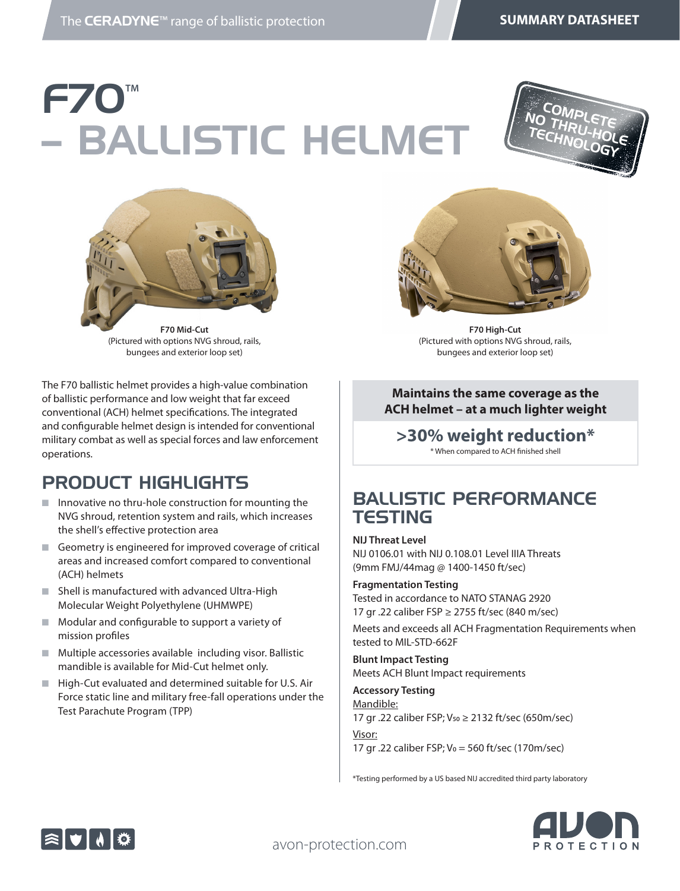# F70**TΜ** – BALLISTIC HELMET





(Pictured with options NVG shroud, rails, bungees and exterior loop set)

The F70 ballistic helmet provides a high-value combination of ballistic performance and low weight that far exceed conventional (ACH) helmet specifications. The integrated and configurable helmet design is intended for conventional military combat as well as special forces and law enforcement operations.

#### PRODUCT HIGHLIGHTS

- $\blacksquare$  Innovative no thru-hole construction for mounting the NVG shroud, retention system and rails, which increases the shell's effective protection area
- $\blacksquare$  Geometry is engineered for improved coverage of critical areas and increased comfort compared to conventional (ACH) helmets
- Shell is manufactured with advanced Ultra-High Molecular Weight Polyethylene (UHMWPE)
- $\blacksquare$  Modular and configurable to support a variety of mission profiles
- $\blacksquare$  Multiple accessories available including visor. Ballistic mandible is available for Mid-Cut helmet only.
- $\blacksquare$  High-Cut evaluated and determined suitable for U.S. Air Force static line and military free-fall operations under the Test Parachute Program (TPP)



**F70 High-Cut** (Pictured with options NVG shroud, rails, bungees and exterior loop set)

#### **Maintains the same coverage as the ACH helmet – at a much lighter weight**

#### **>30% weight reduction\*** \* When compared to ACH finished shell

#### BALLISTIC PERFORMANCE **TESTING**

**NIJ Threat Level** NIJ 0106.01 with NIJ 0.108.01 Level IIIA Threats (9mm FMJ/44mag @ 1400-1450 ft/sec)

**Fragmentation Testing**  Tested in accordance to NATO STANAG 2920 17 gr .22 caliber FSP ≥ 2755 ft/sec (840 m/sec)

Meets and exceeds all ACH Fragmentation Requirements when tested to MIL-STD-662F

**Blunt Impact Testing**  Meets ACH Blunt Impact requirements

**Accessory Testing**  Mandible: 17 gr .22 caliber FSP; V50 ≥ 2132 ft/sec (650m/sec)

Visor: 17 gr .22 caliber FSP; V0 = 560 ft/sec (170m/sec)

\*Testing performed by a US based NIJ accredited third party laboratory